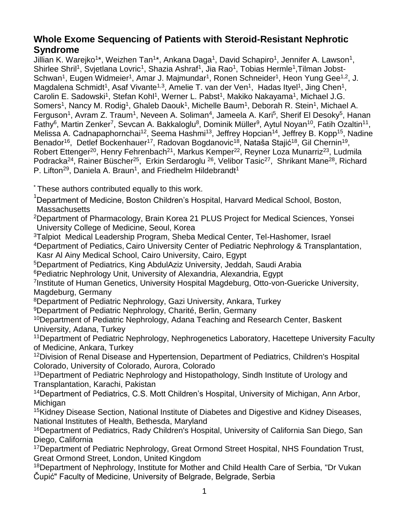# **Whole Exome Sequencing of Patients with Steroid-Resistant Nephrotic Syndrome**

Jillian K. Warejko<sup>1\*</sup>, Weizhen Tan<sup>1\*</sup>, Ankana Daga<sup>1</sup>, David Schapiro<sup>1</sup>, Jennifer A. Lawson<sup>1</sup>, Shirlee Shril<sup>1</sup>, Svjetlana Lovric<sup>1</sup>, Shazia Ashraf<sup>1</sup>, Jia Rao<sup>1</sup>, Tobias Hermle<sup>1</sup>, Tilman Jobst-Schwan<sup>1</sup>, Eugen Widmeier<sup>1</sup>, Amar J. Majmundar<sup>1</sup>, Ronen Schneider<sup>1</sup>, Heon Yung Gee<sup>1,2</sup>, J. Magdalena Schmidt<sup>1</sup>, Asaf Vivante<sup>1,3</sup>, Amelie T. van der Ven<sup>1</sup>, Hadas Ityel<sup>1</sup>, Jing Chen<sup>1</sup>, Carolin E. Sadowski<sup>1</sup>, Stefan Kohl<sup>1</sup>, Werner L. Pabst<sup>1</sup>, Makiko Nakayama<sup>1</sup>, Michael J.G. Somers<sup>1</sup>, Nancy M. Rodig<sup>1</sup>, Ghaleb Daouk<sup>1</sup>, Michelle Baum<sup>1</sup>, Deborah R. Stein<sup>1</sup>, Michael A. Ferguson<sup>1</sup>, Avram Z. Traum<sup>1</sup>, Neveen A. Soliman<sup>4</sup>, Jameela A. Kari<sup>5</sup>, Sherif El Desoky<sup>5</sup>, Hanan Fathy<sup>6</sup>, Martin Zenker<sup>7</sup>, Sevcan A. Bakkaloglu<sup>8</sup>, Dominik Müller<sup>9</sup>, Aytul Noyan<sup>10</sup>, Fatih Ozaltin<sup>11</sup>, Melissa A. Cadnapaphornchai<sup>12</sup>, Seema Hashmi<sup>13</sup>, Jeffrey Hopcian<sup>14</sup>, Jeffrey B. Kopp<sup>15</sup>, Nadine Benador<sup>16</sup>, Detlef Bockenhauer<sup>17</sup>, Radovan Bogdanovic<sup>18</sup>, Nataša Stajić<sup>18</sup>, Gil Chernin<sup>19</sup>, Robert Ettenger<sup>20</sup>, Henry Fehrenbach<sup>21</sup>, Markus Kemper<sup>22</sup>, Reyner Loza Munarriz<sup>23</sup>, Ludmila Podracka<sup>24</sup>, Rainer Büscher<sup>25</sup>, Erkin Serdaroglu <sup>26</sup>, Velibor Tasic<sup>27</sup>, Shrikant Mane<sup>28</sup>, Richard P. Lifton<sup>29</sup>, Daniela A. Braun<sup>1</sup>, and Friedhelm Hildebrandt<sup>1</sup>

\* These authors contributed equally to this work.

<sup>1</sup>Department of Medicine, Boston Children's Hospital, Harvard Medical School, Boston, **Massachusetts** 

<sup>2</sup>Department of Pharmacology, Brain Korea 21 PLUS Project for Medical Sciences, Yonsei University College of Medicine, Seoul, Korea

<sup>3</sup>Talpiot Medical Leadership Program, Sheba Medical Center, Tel-Hashomer, Israel

<sup>4</sup>Department of Pediatics, Cairo University Center of Pediatric Nephrology & Transplantation, Kasr Al Ainy Medical School, Cairo University, Cairo, Egypt

<sup>5</sup>Department of Pediatrics, King AbdulAziz University, Jeddah, Saudi Arabia

<sup>6</sup>Pediatric Nephrology Unit, University of Alexandria, Alexandria, Egypt

<sup>7</sup>Institute of Human Genetics, University Hospital Magdeburg, Otto-von-Guericke University, Magdeburg, Germany

<sup>8</sup>Department of Pediatric Nephrology, Gazi University, Ankara, Turkey

<sup>9</sup>Department of Pediatric Nephrology, Charité, Berlin, Germany

<sup>10</sup>Department of Pediatric Nephrology, Adana Teaching and Research Center, Baskent University, Adana, Turkey

<sup>11</sup>Department of Pediatric Nephrology, Nephrogenetics Laboratory, Hacettepe University Faculty of Medicine, Ankara, Turkey

<sup>12</sup>Division of Renal Disease and Hypertension, Department of Pediatrics, Children's Hospital Colorado, University of Colorado, Aurora, Colorado

<sup>13</sup>Department of Pediatric Nephrology and Histopathology, Sindh Institute of Urology and Transplantation, Karachi, Pakistan

<sup>14</sup>Department of Pediatrics, C.S. Mott Children's Hospital, University of Michigan, Ann Arbor, **Michigan** 

<sup>15</sup>Kidney Disease Section, National Institute of Diabetes and Digestive and Kidney Diseases, National Institutes of Health, Bethesda, Maryland

<sup>16</sup>Department of Pediatrics, Rady Children's Hospital, University of California San Diego, San Diego, California

<sup>17</sup>Department of Pediatric Nephrology, Great Ormond Street Hospital, NHS Foundation Trust, Great Ormond Street, London, United Kingdom

<sup>18</sup>Department of Nephrology, Institute for Mother and Child Health Care of Serbia, "Dr Vukan Čupić" Faculty of Medicine, University of Belgrade, Belgrade, Serbia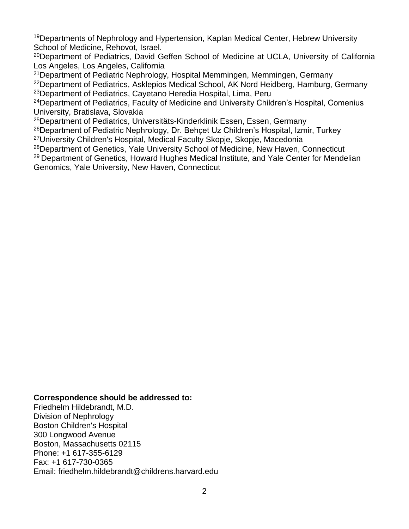<sup>19</sup>Departments of Nephrology and Hypertension, Kaplan Medical Center, Hebrew University School of Medicine, Rehovot, Israel.

<sup>20</sup>Department of Pediatrics, David Geffen School of Medicine at UCLA, University of California Los Angeles, Los Angeles, California

<sup>21</sup>Department of Pediatric Nephrology, Hospital Memmingen, Memmingen, Germany

<sup>22</sup>Department of Pediatrics, Asklepios Medical School, AK Nord Heidberg, Hamburg, Germany <sup>23</sup>Department of Pediatrics, Cayetano Heredia Hospital, Lima, Peru

<sup>24</sup>Department of Pediatrics, Faculty of Medicine and University Children's Hospital, Comenius University, Bratislava, Slovakia

<sup>25</sup>Department of Pediatrics, Universitäts-Kinderklinik Essen, Essen, Germany

<sup>26</sup>Department of Pediatric Nephrology, Dr. Behçet Uz Children's Hospital, Izmir, Turkey

<sup>27</sup>University Children's Hospital, Medical Faculty Skopje, Skopje, Macedonia

<sup>28</sup>Department of Genetics, Yale University School of Medicine, New Haven, Connecticut

<sup>29</sup> Department of Genetics, Howard Hughes Medical Institute, and Yale Center for Mendelian

Genomics, Yale University, New Haven, Connecticut

## **Correspondence should be addressed to:**

Friedhelm Hildebrandt, M.D. Division of Nephrology Boston Children's Hospital 300 Longwood Avenue Boston, Massachusetts 02115 Phone: +1 617-355-6129 Fax: +1 617-730-0365 Email: [friedhelm.hildebrandt@childrens.harvard.edu](mailto:friedhelm.hildebrandt@childrens.harvard.edu)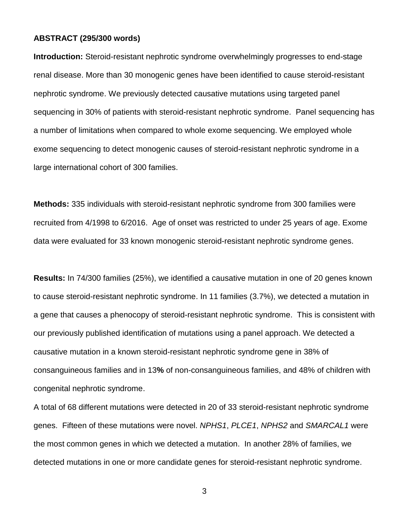#### **ABSTRACT (295/300 words)**

**Introduction:** Steroid-resistant nephrotic syndrome overwhelmingly progresses to end-stage renal disease. More than 30 monogenic genes have been identified to cause steroid-resistant nephrotic syndrome. We previously detected causative mutations using targeted panel sequencing in 30% of patients with steroid-resistant nephrotic syndrome. Panel sequencing has a number of limitations when compared to whole exome sequencing. We employed whole exome sequencing to detect monogenic causes of steroid-resistant nephrotic syndrome in a large international cohort of 300 families.

**Methods:** 335 individuals with steroid-resistant nephrotic syndrome from 300 families were recruited from 4/1998 to 6/2016. Age of onset was restricted to under 25 years of age. Exome data were evaluated for 33 known monogenic steroid-resistant nephrotic syndrome genes.

**Results:** In 74/300 families (25%), we identified a causative mutation in one of 20 genes known to cause steroid-resistant nephrotic syndrome. In 11 families (3.7%), we detected a mutation in a gene that causes a phenocopy of steroid-resistant nephrotic syndrome. This is consistent with our previously published identification of mutations using a panel approach. We detected a causative mutation in a known steroid-resistant nephrotic syndrome gene in 38% of consanguineous families and in 13**%** of non-consanguineous families, and 48% of children with congenital nephrotic syndrome.

A total of 68 different mutations were detected in 20 of 33 steroid-resistant nephrotic syndrome genes. Fifteen of these mutations were novel. *NPHS1*, *PLCE1*, *NPHS2* and *SMARCAL1* were the most common genes in which we detected a mutation. In another 28% of families, we detected mutations in one or more candidate genes for steroid-resistant nephrotic syndrome.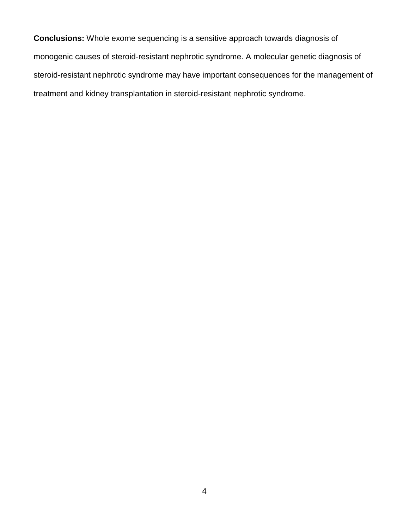**Conclusions:** Whole exome sequencing is a sensitive approach towards diagnosis of monogenic causes of steroid-resistant nephrotic syndrome. A molecular genetic diagnosis of steroid-resistant nephrotic syndrome may have important consequences for the management of treatment and kidney transplantation in steroid-resistant nephrotic syndrome.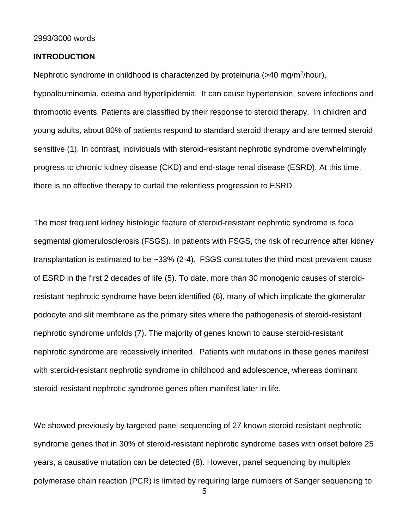#### 2993/3000 words

#### **INTRODUCTION**

Nephrotic syndrome in childhood is characterized by proteinuria (>40 mg/m<sup>2</sup>/hour),

hypoalbuminemia, edema and hyperlipidemia. It can cause hypertension, severe infections and thrombotic events. Patients are classified by their response to steroid therapy. In children and young adults, about 80% of patients respond to standard steroid therapy and are termed steroid sensitive [\(1\)](#page-16-0). In contrast, individuals with steroid-resistant nephrotic syndrome overwhelmingly progress to chronic kidney disease (CKD) and end-stage renal disease (ESRD). At this time, there is no effective therapy to curtail the relentless progression to ESRD.

The most frequent kidney histologic feature of steroid-resistant nephrotic syndrome is focal segmental glomerulosclerosis (FSGS). In patients with FSGS, the risk of recurrence after kidney transplantation is estimated to be ~33% [\(2-4\)](#page-16-1). FSGS constitutes the third most prevalent cause of ESRD in the first 2 decades of life [\(5\)](#page-17-0). To date, more than 30 monogenic causes of steroidresistant nephrotic syndrome have been identified [\(6\)](#page-17-1), many of which implicate the glomerular podocyte and slit membrane as the primary sites where the pathogenesis of steroid-resistant nephrotic syndrome unfolds [\(7\)](#page-17-2). The majority of genes known to cause steroid-resistant nephrotic syndrome are recessively inherited. Patients with mutations in these genes manifest with steroid-resistant nephrotic syndrome in childhood and adolescence, whereas dominant steroid-resistant nephrotic syndrome genes often manifest later in life.

We showed previously by targeted panel sequencing of 27 known steroid-resistant nephrotic syndrome genes that in 30% of steroid-resistant nephrotic syndrome cases with onset before 25 years, a causative mutation can be detected [\(8\)](#page-17-3). However, panel sequencing by multiplex polymerase chain reaction (PCR) is limited by requiring large numbers of Sanger sequencing to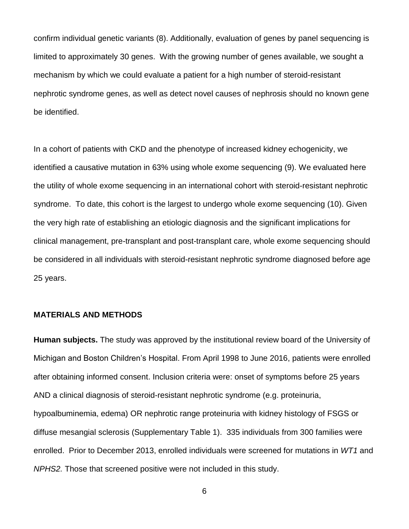confirm individual genetic variants [\(8\)](#page-17-3). Additionally, evaluation of genes by panel sequencing is limited to approximately 30 genes. With the growing number of genes available, we sought a mechanism by which we could evaluate a patient for a high number of steroid-resistant nephrotic syndrome genes, as well as detect novel causes of nephrosis should no known gene be identified.

In a cohort of patients with CKD and the phenotype of increased kidney echogenicity, we identified a causative mutation in 63% using whole exome sequencing [\(9\)](#page-17-4). We evaluated here the utility of whole exome sequencing in an international cohort with steroid-resistant nephrotic syndrome. To date, this cohort is the largest to undergo whole exome sequencing [\(10\)](#page-17-5). Given the very high rate of establishing an etiologic diagnosis and the significant implications for clinical management, pre-transplant and post-transplant care, whole exome sequencing should be considered in all individuals with steroid-resistant nephrotic syndrome diagnosed before age 25 years.

#### **MATERIALS AND METHODS**

**Human subjects.** The study was approved by the institutional review board of the University of Michigan and Boston Children's Hospital. From April 1998 to June 2016, patients were enrolled after obtaining informed consent. Inclusion criteria were: onset of symptoms before 25 years AND a clinical diagnosis of steroid-resistant nephrotic syndrome (e.g. proteinuria, hypoalbuminemia, edema) OR nephrotic range proteinuria with kidney histology of FSGS or diffuse mesangial sclerosis (Supplementary Table 1). 335 individuals from 300 families were enrolled. Prior to December 2013, enrolled individuals were screened for mutations in *WT1* and *NPHS2.* Those that screened positive were not included in this study.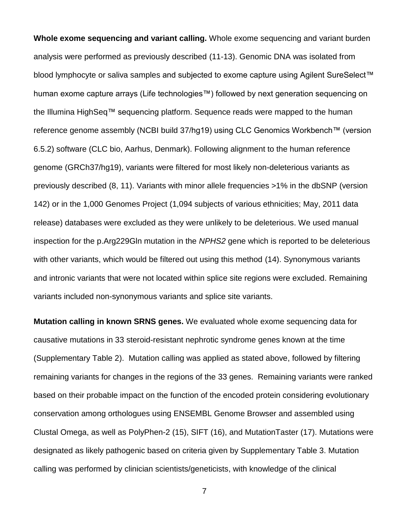**Whole exome sequencing and variant calling.** Whole exome sequencing and variant burden analysis were performed as previously described [\(11-13\)](#page-17-6). Genomic DNA was isolated from blood lymphocyte or saliva samples and subjected to exome capture using Agilent SureSelect™ human exome capture arrays (Life technologies™) followed by next generation sequencing on the Illumina HighSeq™ sequencing platform. Sequence reads were mapped to the human reference genome assembly (NCBI build 37/hg19) using CLC Genomics Workbench™ (version 6.5.2) software (CLC bio, Aarhus, Denmark). Following alignment to the human reference genome (GRCh37/hg19), variants were filtered for most likely non-deleterious variants as previously described [\(8,](#page-17-3) [11\)](#page-17-6). Variants with minor allele frequencies >1% in the dbSNP (version 142) or in the 1,000 Genomes Project (1,094 subjects of various ethnicities; May, 2011 data release) databases were excluded as they were unlikely to be deleterious. We used manual inspection for the p.Arg229Gln mutation in the *NPHS2* gene which is reported to be deleterious with other variants, which would be filtered out using this method [\(14\)](#page-18-0). Synonymous variants and intronic variants that were not located within splice site regions were excluded. Remaining variants included non-synonymous variants and splice site variants.

**Mutation calling in known SRNS genes.** We evaluated whole exome sequencing data for causative mutations in 33 steroid-resistant nephrotic syndrome genes known at the time (Supplementary Table 2). Mutation calling was applied as stated above, followed by filtering remaining variants for changes in the regions of the 33 genes. Remaining variants were ranked based on their probable impact on the function of the encoded protein considering evolutionary conservation among orthologues using ENSEMBL Genome Browser and assembled using Clustal Omega, as well as PolyPhen-2 [\(15\)](#page-18-1), SIFT [\(16\)](#page-18-2), and MutationTaster [\(17\)](#page-18-3). Mutations were designated as likely pathogenic based on criteria given by Supplementary Table 3. Mutation calling was performed by clinician scientists/geneticists, with knowledge of the clinical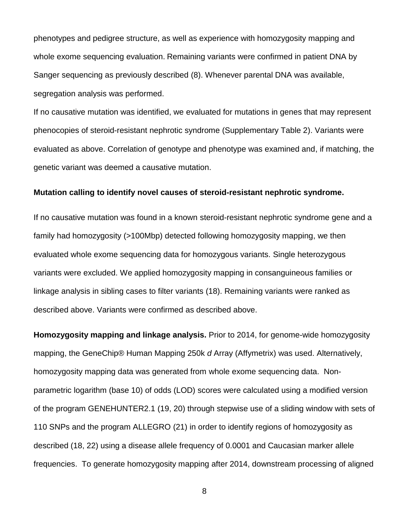phenotypes and pedigree structure, as well as experience with homozygosity mapping and whole exome sequencing evaluation. Remaining variants were confirmed in patient DNA by Sanger sequencing as previously described [\(8\)](#page-17-3). Whenever parental DNA was available, segregation analysis was performed.

If no causative mutation was identified, we evaluated for mutations in genes that may represent phenocopies of steroid-resistant nephrotic syndrome (Supplementary Table 2). Variants were evaluated as above. Correlation of genotype and phenotype was examined and, if matching, the genetic variant was deemed a causative mutation.

### **Mutation calling to identify novel causes of steroid-resistant nephrotic syndrome.**

If no causative mutation was found in a known steroid-resistant nephrotic syndrome gene and a family had homozygosity (>100Mbp) detected following homozygosity mapping, we then evaluated whole exome sequencing data for homozygous variants. Single heterozygous variants were excluded. We applied homozygosity mapping in consanguineous families or linkage analysis in sibling cases to filter variants [\(18\)](#page-18-4). Remaining variants were ranked as described above. Variants were confirmed as described above.

**Homozygosity mapping and linkage analysis.** Prior to 2014, for genome-wide homozygosity mapping, the GeneChip® Human Mapping 250k *d* Array (Affymetrix) was used. Alternatively, homozygosity mapping data was generated from whole exome sequencing data. Nonparametric logarithm (base 10) of odds (LOD) scores were calculated using a modified version of the program GENEHUNTER2.1 [\(19,](#page-18-5) [20\)](#page-18-6) through stepwise use of a sliding window with sets of 110 SNPs and the program ALLEGRO [\(21\)](#page-18-7) in order to identify regions of homozygosity as described [\(18,](#page-18-4) [22\)](#page-18-8) using a disease allele frequency of 0.0001 and Caucasian marker allele frequencies. To generate homozygosity mapping after 2014, downstream processing of aligned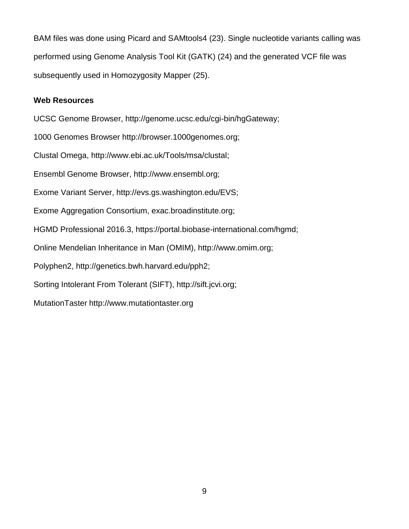BAM files was done using Picard and SAMtools4 [\(23\)](#page-18-9). Single nucleotide variants calling was performed using Genome Analysis Tool Kit (GATK) [\(24\)](#page-18-10) and the generated VCF file was subsequently used in Homozygosity Mapper [\(25\)](#page-18-11).

## **Web Resources**

UCSC Genome Browser, http://genome.ucsc.edu/cgi-bin/hgGateway; 1000 Genomes Browser http://browser.1000genomes.org; Clustal Omega, http://www.ebi.ac.uk/Tools/msa/clustal; Ensembl Genome Browser, http://www.ensembl.org; Exome Variant Server, http://evs.gs.washington.edu/EVS; Exome Aggregation Consortium, exac.broadinstitute.org; HGMD Professional 2016.3, https://portal.biobase-international.com/hgmd; Online Mendelian Inheritance in Man (OMIM), http://www.omim.org; Polyphen2, http://genetics.bwh.harvard.edu/pph2; Sorting Intolerant From Tolerant (SIFT), http://sift.jcvi.org; MutationTaster http://www.mutationtaster.org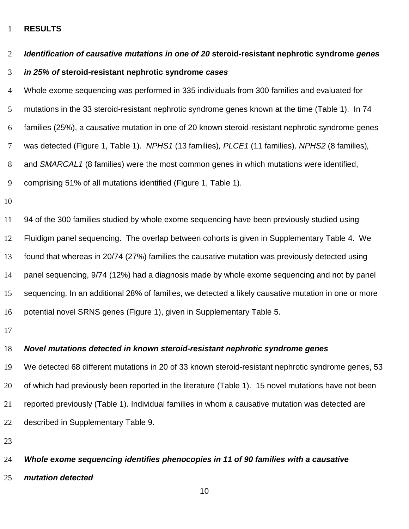# **RESULTS**

| $\overline{2}$ | Identification of causative mutations in one of 20 steroid-resistant nephrotic syndrome genes        |
|----------------|------------------------------------------------------------------------------------------------------|
| 3              | in 25% of steroid-resistant nephrotic syndrome cases                                                 |
| $\overline{4}$ | Whole exome sequencing was performed in 335 individuals from 300 families and evaluated for          |
| 5              | mutations in the 33 steroid-resistant nephrotic syndrome genes known at the time (Table 1). In 74    |
| 6              | families (25%), a causative mutation in one of 20 known steroid-resistant nephrotic syndrome genes   |
| $\overline{7}$ | was detected (Figure 1, Table 1). NPHS1 (13 families), PLCE1 (11 families), NPHS2 (8 families),      |
| $8\,$          | and SMARCAL1 (8 families) were the most common genes in which mutations were identified,             |
| 9              | comprising 51% of all mutations identified (Figure 1, Table 1).                                      |
| 10             |                                                                                                      |
| 11             | 94 of the 300 families studied by whole exome sequencing have been previously studied using          |
| 12             | Fluidigm panel sequencing. The overlap between cohorts is given in Supplementary Table 4. We         |
| 13             | found that whereas in 20/74 (27%) families the causative mutation was previously detected using      |
| 14             | panel sequencing, 9/74 (12%) had a diagnosis made by whole exome sequencing and not by panel         |
| 15             | sequencing. In an additional 28% of families, we detected a likely causative mutation in one or more |
| 16             | potential novel SRNS genes (Figure 1), given in Supplementary Table 5.                               |
| 17             |                                                                                                      |
| -18            | Novel mutations detected in known steroid-resistant nephrotic syndrome genes                         |
| 19             | We detected 68 different mutations in 20 of 33 known steroid-resistant nephrotic syndrome genes, 53  |
| 20             | of which had previously been reported in the literature (Table 1). 15 novel mutations have not been  |
| 21             | reported previously (Table 1). Individual families in whom a causative mutation was detected are     |
| 22             | described in Supplementary Table 9.                                                                  |
| 23             |                                                                                                      |
| 24             | Whole exome sequencing identifies phenocopies in 11 of 90 families with a causative                  |
| 25             | mutation detected                                                                                    |
|                | 10                                                                                                   |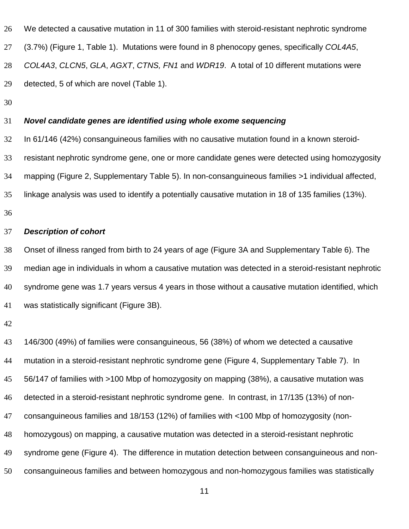We detected a causative mutation in 11 of 300 families with steroid-resistant nephrotic syndrome (3.7%) (Figure 1, Table 1). Mutations were found in 8 phenocopy genes, specifically *COL4A5*,

*COL4A3*, *CLCN5*, *GLA*, *AGXT*, *CTNS, FN1* and *WDR19*. A total of 10 different mutations were

detected, 5 of which are novel (Table 1).

## *Novel candidate genes are identified using whole exome sequencing*

 In 61/146 (42%) consanguineous families with no causative mutation found in a known steroid- resistant nephrotic syndrome gene, one or more candidate genes were detected using homozygosity mapping (Figure 2, Supplementary Table 5). In non-consanguineous families >1 individual affected, linkage analysis was used to identify a potentially causative mutation in 18 of 135 families (13%).

### *Description of cohort*

 Onset of illness ranged from birth to 24 years of age (Figure 3A and Supplementary Table 6). The median age in individuals in whom a causative mutation was detected in a steroid-resistant nephrotic syndrome gene was 1.7 years versus 4 years in those without a causative mutation identified, which was statistically significant (Figure 3B).

 146/300 (49%) of families were consanguineous, 56 (38%) of whom we detected a causative mutation in a steroid-resistant nephrotic syndrome gene (Figure 4, Supplementary Table 7). In 56/147 of families with >100 Mbp of homozygosity on mapping (38%), a causative mutation was detected in a steroid-resistant nephrotic syndrome gene. In contrast, in 17/135 (13%) of non- consanguineous families and 18/153 (12%) of families with <100 Mbp of homozygosity (non- homozygous) on mapping, a causative mutation was detected in a steroid-resistant nephrotic syndrome gene (Figure 4). The difference in mutation detection between consanguineous and non-consanguineous families and between homozygous and non-homozygous families was statistically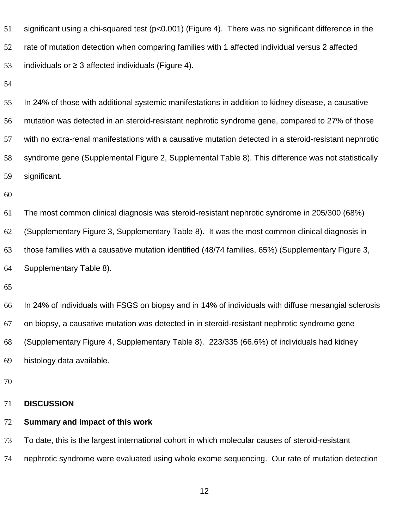significant using a chi-squared test (p<0.001) (Figure 4). There was no significant difference in the rate of mutation detection when comparing families with 1 affected individual versus 2 affected 53 individuals or  $\geq$  3 affected individuals (Figure 4).

 In 24% of those with additional systemic manifestations in addition to kidney disease, a causative mutation was detected in an steroid-resistant nephrotic syndrome gene, compared to 27% of those with no extra-renal manifestations with a causative mutation detected in a steroid-resistant nephrotic syndrome gene (Supplemental Figure 2, Supplemental Table 8). This difference was not statistically significant.

The most common clinical diagnosis was steroid-resistant nephrotic syndrome in 205/300 (68%)

(Supplementary Figure 3, Supplementary Table 8). It was the most common clinical diagnosis in

those families with a causative mutation identified (48/74 families, 65%) (Supplementary Figure 3,

Supplementary Table 8).

 In 24% of individuals with FSGS on biopsy and in 14% of individuals with diffuse mesangial sclerosis on biopsy, a causative mutation was detected in in steroid-resistant nephrotic syndrome gene (Supplementary Figure 4, Supplementary Table 8). 223/335 (66.6%) of individuals had kidney histology data available.

#### **DISCUSSION**

## **Summary and impact of this work**

To date, this is the largest international cohort in which molecular causes of steroid-resistant

nephrotic syndrome were evaluated using whole exome sequencing. Our rate of mutation detection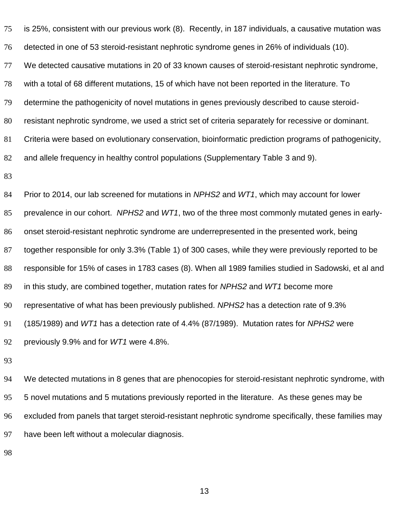is 25%, consistent with our previous work [\(8\)](#page-17-3). Recently, in 187 individuals, a causative mutation was detected in one of 53 steroid-resistant nephrotic syndrome genes in 26% of individuals [\(10\)](#page-17-5). We detected causative mutations in 20 of 33 known causes of steroid-resistant nephrotic syndrome, with a total of 68 different mutations, 15 of which have not been reported in the literature. To determine the pathogenicity of novel mutations in genes previously described to cause steroid- resistant nephrotic syndrome, we used a strict set of criteria separately for recessive or dominant. Criteria were based on evolutionary conservation, bioinformatic prediction programs of pathogenicity, and allele frequency in healthy control populations (Supplementary Table 3 and 9).

 Prior to 2014, our lab screened for mutations in *NPHS2* and *WT1*, which may account for lower prevalence in our cohort. *NPHS2* and *WT1*, two of the three most commonly mutated genes in early- onset steroid-resistant nephrotic syndrome are underrepresented in the presented work, being together responsible for only 3.3% (Table 1) of 300 cases, while they were previously reported to be responsible for 15% of cases in 1783 cases [\(8\)](#page-17-3). When all 1989 families studied in Sadowski, et al and in this study, are combined together, mutation rates for *NPHS2* and *WT1* become more representative of what has been previously published. *NPHS2* has a detection rate of 9.3% (185/1989) and *WT1* has a detection rate of 4.4% (87/1989). Mutation rates for *NPHS2* were previously 9.9% and for *WT1* were 4.8%.

 We detected mutations in 8 genes that are phenocopies for steroid-resistant nephrotic syndrome, with 5 novel mutations and 5 mutations previously reported in the literature. As these genes may be excluded from panels that target steroid-resistant nephrotic syndrome specifically, these families may have been left without a molecular diagnosis.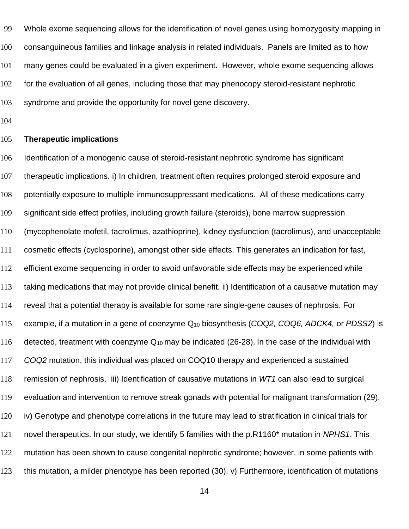Whole exome sequencing allows for the identification of novel genes using homozygosity mapping in consanguineous families and linkage analysis in related individuals. Panels are limited as to how many genes could be evaluated in a given experiment. However, whole exome sequencing allows for the evaluation of all genes, including those that may phenocopy steroid-resistant nephrotic syndrome and provide the opportunity for novel gene discovery.

## **Therapeutic implications**

 Identification of a monogenic cause of steroid-resistant nephrotic syndrome has significant therapeutic implications. i) In children, treatment often requires prolonged steroid exposure and potentially exposure to multiple immunosuppressant medications. All of these medications carry significant side effect profiles, including growth failure (steroids), bone marrow suppression (mycophenolate mofetil, tacrolimus, azathioprine), kidney dysfunction (tacrolimus), and unacceptable cosmetic effects (cyclosporine), amongst other side effects. This generates an indication for fast, efficient exome sequencing in order to avoid unfavorable side effects may be experienced while taking medications that may not provide clinical benefit. ii) Identification of a causative mutation may reveal that a potential therapy is available for some rare single-gene causes of nephrosis. For example, if a mutation in a gene of coenzyme Q<sup>10</sup> biosynthesis (*COQ2, COQ6, ADCK4,* or *PDSS2*) is 116 detected, treatment with coenzyme  $Q_{10}$  may be indicated [\(26-28\)](#page-18-12). In the case of the individual with *COQ2* mutation, this individual was placed on COQ10 therapy and experienced a sustained remission of nephrosis. iii) Identification of causative mutations in *WT1* can also lead to surgical evaluation and intervention to remove streak gonads with potential for malignant transformation [\(29\)](#page-19-0). 120 iv) Genotype and phenotype correlations in the future may lead to stratification in clinical trials for novel therapeutics. In our study, we identify 5 families with the p.R1160\* mutation in *NPHS1*. This mutation has been shown to cause congenital nephrotic syndrome; however, in some patients with this mutation, a milder phenotype has been reported [\(30\)](#page-19-1). v) Furthermore, identification of mutations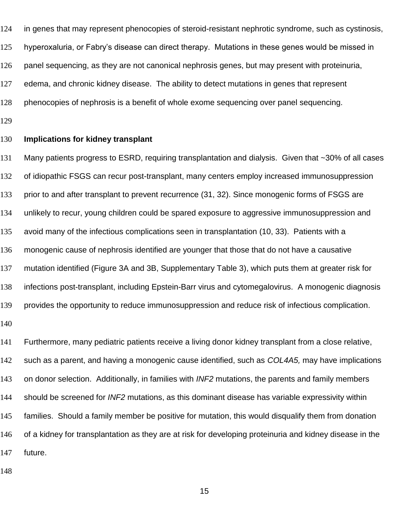in genes that may represent phenocopies of steroid-resistant nephrotic syndrome, such as cystinosis,

hyperoxaluria, or Fabry's disease can direct therapy. Mutations in these genes would be missed in

panel sequencing, as they are not canonical nephrosis genes, but may present with proteinuria,

127 edema, and chronic kidney disease. The ability to detect mutations in genes that represent

- 128 phenocopies of nephrosis is a benefit of whole exome sequencing over panel sequencing.
- 

### **Implications for kidney transplant**

131 Many patients progress to ESRD, requiring transplantation and dialysis. Given that ~30% of all cases of idiopathic FSGS can recur post-transplant, many centers employ increased immunosuppression 133 prior to and after transplant to prevent recurrence [\(31,](#page-19-2) [32\)](#page-19-3). Since monogenic forms of FSGS are unlikely to recur, young children could be spared exposure to aggressive immunosuppression and avoid many of the infectious complications seen in transplantation [\(10,](#page-17-5) [33\)](#page-19-4). Patients with a monogenic cause of nephrosis identified are younger that those that do not have a causative mutation identified (Figure 3A and 3B, Supplementary Table 3), which puts them at greater risk for infections post-transplant, including Epstein-Barr virus and cytomegalovirus. A monogenic diagnosis provides the opportunity to reduce immunosuppression and reduce risk of infectious complication.

 Furthermore, many pediatric patients receive a living donor kidney transplant from a close relative, such as a parent, and having a monogenic cause identified, such as *COL4A5,* may have implications on donor selection. Additionally, in families with *INF2* mutations, the parents and family members should be screened for *INF2* mutations, as this dominant disease has variable expressivity within families. Should a family member be positive for mutation, this would disqualify them from donation of a kidney for transplantation as they are at risk for developing proteinuria and kidney disease in the future.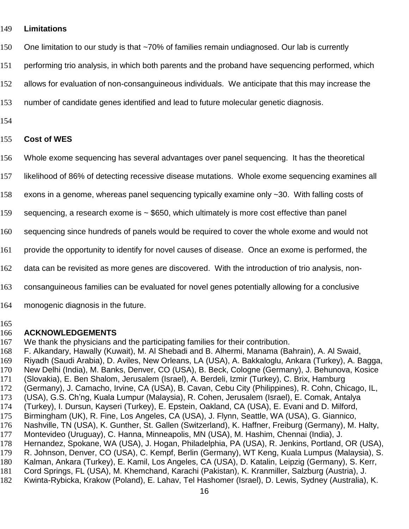# **Limitations**

- 150 One limitation to our study is that ~70% of families remain undiagnosed. Our lab is currently
- performing trio analysis, in which both parents and the proband have sequencing performed, which
- allows for evaluation of non-consanguineous individuals. We anticipate that this may increase the
- number of candidate genes identified and lead to future molecular genetic diagnosis.
- 

# **Cost of WES**

- Whole exome sequencing has several advantages over panel sequencing. It has the theoretical
- likelihood of 86% of detecting recessive disease mutations. Whole exome sequencing examines all
- exons in a genome, whereas panel sequencing typically examine only ~30. With falling costs of
- sequencing, a research exome is ~ \$650, which ultimately is more cost effective than panel
- sequencing since hundreds of panels would be required to cover the whole exome and would not
- provide the opportunity to identify for novel causes of disease. Once an exome is performed, the
- data can be revisited as more genes are discovered. With the introduction of trio analysis, non-
- consanguineous families can be evaluated for novel genes potentially allowing for a conclusive
- monogenic diagnosis in the future.
- 

## **ACKNOWLEDGEMENTS**

- We thank the physicians and the participating families for their contribution.
- F. Alkandary, Hawally (Kuwait), M. Al Shebadi and B. Alhermi, Manama (Bahrain), A. Al Swaid,
- Riyadh (Saudi Arabia), D. Aviles, New Orleans, LA (USA), A. Bakkaloglu, Ankara (Turkey), A. Bagga,
- New Delhi (India), M. Banks, Denver, CO (USA), B. Beck, Cologne (Germany), J. Behunova, Kosice
- (Slovakia), E. Ben Shalom, Jerusalem (Israel), A. Berdeli, Izmir (Turkey), C. Brix, Hamburg
- (Germany), J. Camacho, Irvine, CA (USA), B. Cavan, Cebu City (Philippines), R. Cohn, Chicago, IL,
- (USA), G.S. Ch'ng, Kuala Lumpur (Malaysia), R. Cohen, Jerusalem (Israel), E. Comak, Antalya
- (Turkey), I. Dursun, Kayseri (Turkey), E. Epstein, Oakland, CA (USA), E. Evani and D. Milford,
- Birmingham (UK), R. Fine, Los Angeles, CA (USA), J. Flynn, Seattle, WA (USA), G. Giannico, Nashville, TN (USA), K. Gunther, St. Gallen (Switzerland), K. Haffner, Freiburg (Germany), M. Halty,
- Montevideo (Uruguay), C. Hanna, Minneapolis, MN (USA), M. Hashim, Chennai (India), J.
- Hernandez, Spokane, WA (USA), J. Hogan, Philadelphia, PA (USA), R. Jenkins, Portland, OR (USA),
- R. Johnson, Denver, CO (USA), C. Kempf, Berlin (Germany), WT Keng, Kuala Lumpus (Malaysia), S.
- Kalman, Ankara (Turkey), E. Kamil, Los Angeles, CA (USA), D. Katalin, Leipzig (Germany), S. Kerr,
- Cord Springs, FL (USA), M. Khemchand, Karachi (Pakistan), K. Kranmiller, Salzburg (Austria), J.
- Kwinta-Rybicka, Krakow (Poland), E. Lahav, Tel Hashomer (Israel), D. Lewis, Sydney (Australia), K.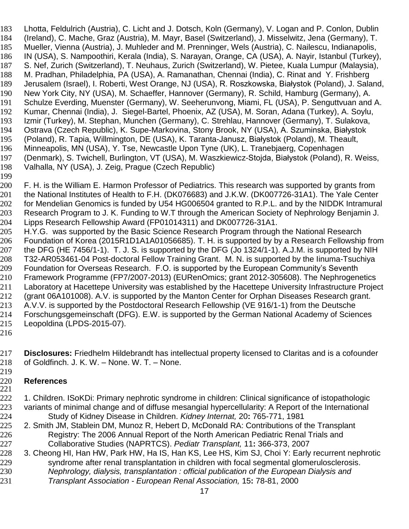Lhotta, Feldulrich (Austria), C. Licht and J. Dotsch, Koln (Germany), V. Logan and P. Conlon, Dublin (Ireland), C. Mache, Graz (Austria), M. Mayr, Basel (Switzerland), J. Misselwitz, Jena (Germany), T. Mueller, Vienna (Austria), J. Muhleder and M. Prenninger, Wels (Austria), C. Nailescu, Indianapolis, IN (USA), S. Nampoothiri, Kerala (India), S. Narayan, Orange, CA (USA), A. Nayir, Istanbul (Turkey), S. Nef, Zurich (Switzerland), T. Neuhaus, Zurich (Switzerland), W. Pietee, Kuala Lumpur (Malaysia), M. Pradhan, Philadelphia, PA (USA), A. Ramanathan, Chennai (India), C. Rinat and Y. Frishberg Jerusalem (Israel), I. Roberti, West Orange, NJ (USA), R. Roszkowska, Białystok (Poland), J. Saland, New York City, NY (USA), M. Schaeffer, Hannover (Germany), R. Schild, Hamburg (Germany), A. Schulze Everding, Muenster (Germany), W. Seeherunvong, Miami, FL (USA), P. Senguttvuan and A. Kumar, Chennai (India), J. Siegel-Bartel, Phoenix, AZ (USA), M. Soran, Adana (Turkey), A. Soylu, Izmir (Turkey), M. Stephan, Munchen (Germany), C. Strehlau, Hannover (Germany), T. Sulakova, Ostrava (Czech Republic), K. Supe-Markovina, Stony Brook, NY (USA), A. Szuminska, Białystok (Poland), R. Tapia, Willmington, DE (USA), K. Taranta-Janusz, Białystok (Poland), M. Theault, Minneapolis, MN (USA), Y. Tse, Newcastle Upon Tyne (UK), L. Tranebjaerg, Copenhagen (Denmark), S. Twichell, Burlington, VT (USA), M. Waszkiewicz-Stojda, Białystok (Poland), R. Weiss, Valhalla, NY (USA), J. Zeig, Prague (Czech Republic) 

 F. H. is the William E. Harmon Professor of Pediatrics. This research was supported by grants from the National Institutes of Health to F.H. (DK076683) and J.K.W. (DK007726-31A1). The Yale Center for Mendelian Genomics is funded by U54 HG006504 granted to R.P.L. and by the NIDDK Intramural Research Program to J. K. Funding to W.T through the American Society of Nephrology Benjamin J. Lipps Research Fellowship Award (FP01014311) and DK007726-31A1.

205 H.Y.G. was supported by the Basic Science Research Program through the National Research Foundation of Korea (2015R1D1A1A01056685). T. H. is supported by by a Research Fellowship from the DFG (HE 7456/1-1). T. J. S. is supported by the DFG (Jo 1324/1-1). A.J.M. is supported by NIH T32-AR053461-04 Post-doctoral Fellow Training Grant. M. N. is supported by the Iinuma-Tsuchiya Foundation for Overseas Research. F.O. is supported by the European Community's Seventh Framework Programme (FP7/2007-2013) (EURenOmics; grant 2012-305608). The Nephrogenetics 211 Laboratory at Hacettepe University was established by the Hacettepe University Infrastructure Project (grant 06A101008). A.V. is supported by the Manton Center for Orphan Diseases Research grant. A.V.V. is supported by the Postdoctoral Research Fellowship (VE 916/1-1) from the Deutsche Forschungsgemeinschaft (DFG). E.W. is supported by the German National Academy of Sciences Leopoldina (LPDS-2015-07).

 **Disclosures:** Friedhelm Hildebrandt has intellectual property licensed to Claritas and is a cofounder of Goldfinch. J. K. W. – None. W. T. – None.

#### **References**

- 
- <span id="page-16-0"></span> 1. Children. ISoKDi: Primary nephrotic syndrome in children: Clinical significance of istopathologic variants of minimal change and of diffuse mesangial hypercellularity: A Report of the International Study of Kidney Disease in Children. *Kidney Internat,* 20**:** 765-771, 1981
- <span id="page-16-1"></span>225 2. Smith JM, Stablein DM, Munoz R, Hebert D, McDonald RA: Contributions of the Transplant 226 Registry: The 2006 Annual Report of the North American Pediatric Renal Trials and Collaborative Studies (NAPRTCS). *Pediatr Transplant,* 11**:** 366-373, 2007
- 228 3. Cheong HI, Han HW, Park HW, Ha IS, Han KS, Lee HS, Kim SJ, Choi Y: Early recurrent nephrotic syndrome after renal transplantation in children with focal segmental glomerulosclerosis. *Nephrology, dialysis, transplantation : official publication of the European Dialysis and Transplant Association - European Renal Association,* 15**:** 78-81, 2000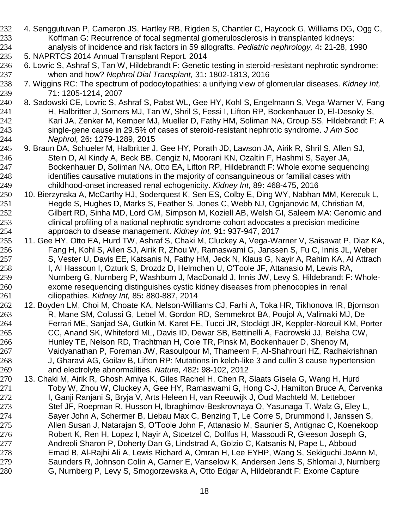- <span id="page-17-6"></span><span id="page-17-5"></span><span id="page-17-4"></span><span id="page-17-3"></span><span id="page-17-2"></span><span id="page-17-1"></span><span id="page-17-0"></span> 4. Senggutuvan P, Cameron JS, Hartley RB, Rigden S, Chantler C, Haycock G, Williams DG, Ogg C, Koffman G: Recurrence of focal segmental glomerulosclerosis in transplanted kidneys: analysis of incidence and risk factors in 59 allografts. *Pediatric nephrology,* 4**:** 21-28, 1990 5. NAPRTCS 2014 Annual Transplant Report. 2014 236 6. Lovric S, Ashraf S, Tan W, Hildebrandt F: Genetic testing in steroid-resistant nephrotic syndrome: when and how? *Nephrol Dial Transplant,* 31**:** 1802-1813, 2016
	- 7. Wiggins RC: The spectrum of podocytopathies: a unifying view of glomerular diseases. *Kidney Int,* 71**:** 1205-1214, 2007
	- 240 8. Sadowski CE, Lovric S, Ashraf S, Pabst WL, Gee HY, Kohl S, Engelmann S, Vega-Warner V, Fang 241 H, Halbritter J, Somers MJ, Tan W, Shril S, Fessi I, Lifton RP, Bockenhauer D, El-Desoky S, Kari JA, Zenker M, Kemper MJ, Mueller D, Fathy HM, Soliman NA, Group SS, Hildebrandt F: A single-gene cause in 29.5% of cases of steroid-resistant nephrotic syndrome. *J Am Soc Nephrol,* 26**:** 1279-1289, 2015
	- 9. Braun DA, Schueler M, Halbritter J, Gee HY, Porath JD, Lawson JA, Airik R, Shril S, Allen SJ, Stein D, Al Kindy A, Beck BB, Cengiz N, Moorani KN, Ozaltin F, Hashmi S, Sayer JA, Bockenhauer D, Soliman NA, Otto EA, Lifton RP, Hildebrandt F: Whole exome sequencing identifies causative mutations in the majority of consanguineous or familial cases with childhood-onset increased renal echogenicity. *Kidney Int,* 89**:** 468-475, 2016
	- 10. Bierzynska A, McCarthy HJ, Soderquest K, Sen ES, Colby E, Ding WY, Nabhan MM, Kerecuk L, Hegde S, Hughes D, Marks S, Feather S, Jones C, Webb NJ, Ognjanovic M, Christian M, Gilbert RD, Sinha MD, Lord GM, Simpson M, Koziell AB, Welsh GI, Saleem MA: Genomic and clinical profiling of a national nephrotic syndrome cohort advocates a precision medicine approach to disease management. *Kidney Int,* 91**:** 937-947, 2017
	- 11. Gee HY, Otto EA, Hurd TW, Ashraf S, Chaki M, Cluckey A, Vega-Warner V, Saisawat P, Diaz KA, Fang H, Kohl S, Allen SJ, Airik R, Zhou W, Ramaswami G, Janssen S, Fu C, Innis JL, Weber 257 S, Vester U, Davis EE, Katsanis N, Fathy HM, Jeck N, Klaus G, Nayir A, Rahim KA, Al Attrach I, Al Hassoun I, Ozturk S, Drozdz D, Helmchen U, O'Toole JF, Attanasio M, Lewis RA, Nurnberg G, Nurnberg P, Washburn J, MacDonald J, Innis JW, Levy S, Hildebrandt F: Whole- exome resequencing distinguishes cystic kidney diseases from phenocopies in renal ciliopathies. *Kidney Int,* 85**:** 880-887, 2014
	- 12. Boyden LM, Choi M, Choate KA, Nelson-Williams CJ, Farhi A, Toka HR, Tikhonova IR, Bjornson R, Mane SM, Colussi G, Lebel M, Gordon RD, Semmekrot BA, Poujol A, Valimaki MJ, De Ferrari ME, Sanjad SA, Gutkin M, Karet FE, Tucci JR, Stockigt JR, Keppler-Noreuil KM, Porter CC, Anand SK, Whiteford ML, Davis ID, Dewar SB, Bettinelli A, Fadrowski JJ, Belsha CW, Hunley TE, Nelson RD, Trachtman H, Cole TR, Pinsk M, Bockenhauer D, Shenoy M, Vaidyanathan P, Foreman JW, Rasoulpour M, Thameem F, Al-Shahrouri HZ, Radhakrishnan J, Gharavi AG, Goilav B, Lifton RP: Mutations in kelch-like 3 and cullin 3 cause hypertension and electrolyte abnormalities. *Nature,* 482**:** 98-102, 2012
	- 13. Chaki M, Airik R, Ghosh Amiya K, Giles Rachel H, Chen R, Slaats Gisela G, Wang H, Hurd Toby W, Zhou W, Cluckey A, Gee HY, Ramaswami G, Hong C-J, Hamilton Bruce A, Červenka 272 I, Ganji Ranjani S, Bryja V, Arts Heleen H, van Reeuwijk J, Oud Machteld M, Letteboer Stef JF, Roepman R, Husson H, Ibraghimov-Beskrovnaya O, Yasunaga T, Walz G, Eley L, Sayer John A, Schermer B, Liebau Max C, Benzing T, Le Corre S, Drummond I, Janssen S, Allen Susan J, Natarajan S, O'Toole John F, Attanasio M, Saunier S, Antignac C, Koenekoop Robert K, Ren H, Lopez I, Nayir A, Stoetzel C, Dollfus H, Massoudi R, Gleeson Joseph G, 277 Andreoli Sharon P, Doherty Dan G, Lindstrad A, Golzio C, Katsanis N, Pape L, Abboud Emad B, Al-Rajhi Ali A, Lewis Richard A, Omran H, Lee EYHP, Wang S, Sekiguchi JoAnn M, Saunders R, Johnson Colin A, Garner E, Vanselow K, Andersen Jens S, Shlomai J, Nurnberg G, Nurnberg P, Levy S, Smogorzewska A, Otto Edgar A, Hildebrandt F: Exome Capture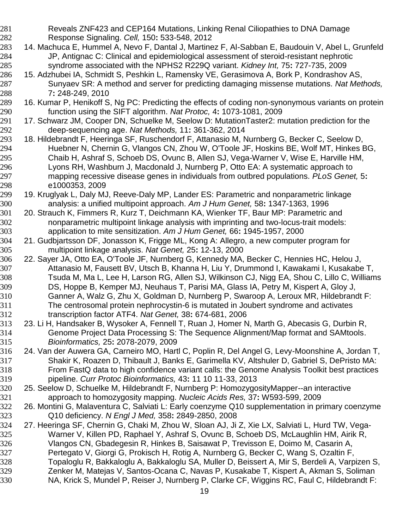- Reveals ZNF423 and CEP164 Mutations, Linking Renal Ciliopathies to DNA Damage Response Signaling. *Cell,* 150**:** 533-548, 2012
- <span id="page-18-0"></span> 14. Machuca E, Hummel A, Nevo F, Dantal J, Martinez F, Al-Sabban E, Baudouin V, Abel L, Grunfeld JP, Antignac C: Clinical and epidemiological assessment of steroid-resistant nephrotic syndrome associated with the NPHS2 R229Q variant. *Kidney Int,* 75**:** 727-735, 2009
- <span id="page-18-1"></span> 15. Adzhubei IA, Schmidt S, Peshkin L, Ramensky VE, Gerasimova A, Bork P, Kondrashov AS, Sunyaev SR: A method and server for predicting damaging missense mutations. *Nat Methods,* 7**:** 248-249, 2010
- <span id="page-18-2"></span> 16. Kumar P, Henikoff S, Ng PC: Predicting the effects of coding non-synonymous variants on protein function using the SIFT algorithm. *Nat Protoc,* 4**:** 1073-1081, 2009
- <span id="page-18-3"></span> 17. Schwarz JM, Cooper DN, Schuelke M, Seelow D: MutationTaster2: mutation prediction for the deep-sequencing age. *Nat Methods,* 11**:** 361-362, 2014
- <span id="page-18-4"></span> 18. Hildebrandt F, Heeringa SF, Ruschendorf F, Attanasio M, Nurnberg G, Becker C, Seelow D, Huebner N, Chernin G, Vlangos CN, Zhou W, O'Toole JF, Hoskins BE, Wolf MT, Hinkes BG, Chaib H, Ashraf S, Schoeb DS, Ovunc B, Allen SJ, Vega-Warner V, Wise E, Harville HM, Lyons RH, Washburn J, Macdonald J, Nurnberg P, Otto EA: A systematic approach to mapping recessive disease genes in individuals from outbred populations. *PLoS Genet,* 5**:**  e1000353, 2009
- <span id="page-18-5"></span> 19. Kruglyak L, Daly MJ, Reeve-Daly MP, Lander ES: Parametric and nonparametric linkage analysis: a unified multipoint approach. *Am J Hum Genet,* 58**:** 1347-1363, 1996
- <span id="page-18-6"></span> 20. Strauch K, Fimmers R, Kurz T, Deichmann KA, Wienker TF, Baur MP: Parametric and nonparametric multipoint linkage analysis with imprinting and two-locus-trait models: application to mite sensitization. *Am J Hum Genet,* 66**:** 1945-1957, 2000
- <span id="page-18-7"></span> 21. Gudbjartsson DF, Jonasson K, Frigge ML, Kong A: Allegro, a new computer program for multipoint linkage analysis. *Nat Genet,* 25**:** 12-13, 2000
- <span id="page-18-8"></span> 22. Sayer JA, Otto EA, O'Toole JF, Nurnberg G, Kennedy MA, Becker C, Hennies HC, Helou J, Attanasio M, Fausett BV, Utsch B, Khanna H, Liu Y, Drummond I, Kawakami I, Kusakabe T, Tsuda M, Ma L, Lee H, Larson RG, Allen SJ, Wilkinson CJ, Nigg EA, Shou C, Lillo C, Williams DS, Hoppe B, Kemper MJ, Neuhaus T, Parisi MA, Glass IA, Petry M, Kispert A, Gloy J, Ganner A, Walz G, Zhu X, Goldman D, Nurnberg P, Swaroop A, Leroux MR, Hildebrandt F: The centrosomal protein nephrocystin-6 is mutated in Joubert syndrome and activates transcription factor ATF4. *Nat Genet,* 38**:** 674-681, 2006
- <span id="page-18-9"></span> 23. Li H, Handsaker B, Wysoker A, Fennell T, Ruan J, Homer N, Marth G, Abecasis G, Durbin R, Genome Project Data Processing S: The Sequence Alignment/Map format and SAMtools. *Bioinformatics,* 25**:** 2078-2079, 2009
- <span id="page-18-10"></span> 24. Van der Auwera GA, Carneiro MO, Hartl C, Poplin R, Del Angel G, Levy-Moonshine A, Jordan T, Shakir K, Roazen D, Thibault J, Banks E, Garimella KV, Altshuler D, Gabriel S, DePristo MA: From FastQ data to high confidence variant calls: the Genome Analysis Toolkit best practices pipeline. *Curr Protoc Bioinformatics,* 43**:** 11 10 11-33, 2013
- <span id="page-18-11"></span> 25. Seelow D, Schuelke M, Hildebrandt F, Nurnberg P: HomozygosityMapper--an interactive approach to homozygosity mapping. *Nucleic Acids Res,* 37**:** W593-599, 2009
- <span id="page-18-12"></span> 26. Montini G, Malaventura C, Salviati L: Early coenzyme Q10 supplementation in primary coenzyme Q10 deficiency. *N Engl J Med,* 358**:** 2849-2850, 2008
- 27. Heeringa SF, Chernin G, Chaki M, Zhou W, Sloan AJ, Ji Z, Xie LX, Salviati L, Hurd TW, Vega- Warner V, Killen PD, Raphael Y, Ashraf S, Ovunc B, Schoeb DS, McLaughlin HM, Airik R, Vlangos CN, Gbadegesin R, Hinkes B, Saisawat P, Trevisson E, Doimo M, Casarin A, Pertegato V, Giorgi G, Prokisch H, Rotig A, Nurnberg G, Becker C, Wang S, Ozaltin F, Topaloglu R, Bakkaloglu A, Bakkaloglu SA, Muller D, Beissert A, Mir S, Berdeli A, Varpizen S, Zenker M, Matejas V, Santos-Ocana C, Navas P, Kusakabe T, Kispert A, Akman S, Soliman
- NA, Krick S, Mundel P, Reiser J, Nurnberg P, Clarke CF, Wiggins RC, Faul C, Hildebrandt F: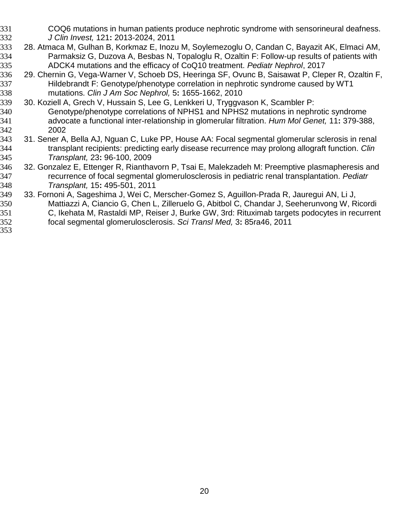- COQ6 mutations in human patients produce nephrotic syndrome with sensorineural deafness. *J Clin Invest,* 121**:** 2013-2024, 2011
- 28. Atmaca M, Gulhan B, Korkmaz E, Inozu M, Soylemezoglu O, Candan C, Bayazit AK, Elmaci AM, Parmaksiz G, Duzova A, Besbas N, Topaloglu R, Ozaltin F: Follow-up results of patients with ADCK4 mutations and the efficacy of CoQ10 treatment. *Pediatr Nephrol*, 2017
- <span id="page-19-0"></span> 29. Chernin G, Vega-Warner V, Schoeb DS, Heeringa SF, Ovunc B, Saisawat P, Cleper R, Ozaltin F, Hildebrandt F: Genotype/phenotype correlation in nephrotic syndrome caused by WT1 mutations. *Clin J Am Soc Nephrol,* 5**:** 1655-1662, 2010
- <span id="page-19-1"></span>30. Koziell A, Grech V, Hussain S, Lee G, Lenkkeri U, Tryggvason K, Scambler P:
- Genotype/phenotype correlations of NPHS1 and NPHS2 mutations in nephrotic syndrome advocate a functional inter-relationship in glomerular filtration. *Hum Mol Genet,* 11**:** 379-388, 2002
- <span id="page-19-2"></span> 31. Sener A, Bella AJ, Nguan C, Luke PP, House AA: Focal segmental glomerular sclerosis in renal transplant recipients: predicting early disease recurrence may prolong allograft function. *Clin Transplant,* 23**:** 96-100, 2009
- <span id="page-19-3"></span> 32. Gonzalez E, Ettenger R, Rianthavorn P, Tsai E, Malekzadeh M: Preemptive plasmapheresis and recurrence of focal segmental glomerulosclerosis in pediatric renal transplantation. *Pediatr Transplant,* 15**:** 495-501, 2011
- <span id="page-19-4"></span>33. Fornoni A, Sageshima J, Wei C, Merscher-Gomez S, Aguillon-Prada R, Jauregui AN, Li J,
- Mattiazzi A, Ciancio G, Chen L, Zilleruelo G, Abitbol C, Chandar J, Seeherunvong W, Ricordi
- C, Ikehata M, Rastaldi MP, Reiser J, Burke GW, 3rd: Rituximab targets podocytes in recurrent
- focal segmental glomerulosclerosis. *Sci Transl Med,* 3**:** 85ra46, 2011
-